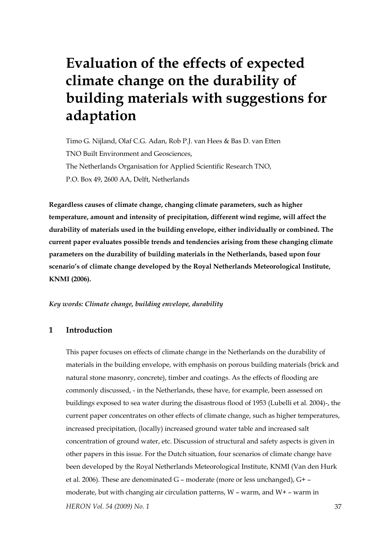# **Evaluation of the effects of expected climate change on the durability of building materials with suggestions for adaptation**

Timo G. Nijland, Olaf C.G. Adan, Rob P.J. van Hees & Bas D. van Etten TNO Built Environment and Geosciences, The Netherlands Organisation for Applied Scientific Research TNO, P.O. Box 49, 2600 AA, Delft, Netherlands

**Regardless causes of climate change, changing climate parameters, such as higher temperature, amount and intensity of precipitation, different wind regime, will affect the durability of materials used in the building envelope, either individually or combined. The current paper evaluates possible trends and tendencies arising from these changing climate parameters on the durability of building materials in the Netherlands, based upon four scenario's of climate change developed by the Royal Netherlands Meteorological Institute, KNMI (2006).** 

*Key words: Climate change, building envelope, durability* 

## **1 Introduction**

*HERON Vol. 54 (2009) No. 1* 37 This paper focuses on effects of climate change in the Netherlands on the durability of materials in the building envelope, with emphasis on porous building materials (brick and natural stone masonry, concrete), timber and coatings. As the effects of flooding are commonly discussed, - in the Netherlands, these have, for example, been assessed on buildings exposed to sea water during the disastrous flood of 1953 (Lubelli et al. 2004)-, the current paper concentrates on other effects of climate change, such as higher temperatures, increased precipitation, (locally) increased ground water table and increased salt concentration of ground water, etc. Discussion of structural and safety aspects is given in other papers in this issue. For the Dutch situation, four scenarios of climate change have been developed by the Royal Netherlands Meteorological Institute, KNMI (Van den Hurk et al. 2006). These are denominated G – moderate (more or less unchanged), G+ – moderate, but with changing air circulation patterns,  $W$  – warm, and  $W$ + – warm in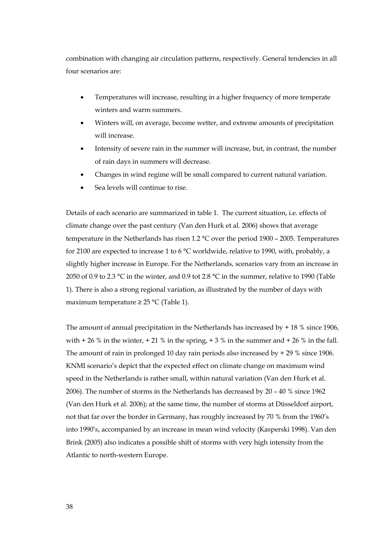combination with changing air circulation patterns, respectively. General tendencies in all four scenarios are:

- Temperatures will increase, resulting in a higher frequency of more temperate winters and warm summers.
- Winters will, on average, become wetter, and extreme amounts of precipitation will increase.
- Intensity of severe rain in the summer will increase, but, in contrast, the number of rain days in summers will decrease.
- Changes in wind regime will be small compared to current natural variation.
- Sea levels will continue to rise.

Details of each scenario are summarized in table 1. The current situation, i.e. effects of climate change over the past century (Van den Hurk et al. 2006) shows that average temperature in the Netherlands has risen 1.2 °C over the period 1900 – 2005. Temperatures for 2100 are expected to increase 1 to 6 °C worldwide, relative to 1990, with, probably, a slightly higher increase in Europe. For the Netherlands, scenarios vary from an increase in 2050 of 0.9 to 2.3 °C in the winter, and 0.9 tot 2.8 °C in the summer, relative to 1990 (Table 1). There is also a strong regional variation, as illustrated by the number of days with maximum temperature ≥ 25 °C (Table 1).

The amount of annual precipitation in the Netherlands has increased by  $+18$  % since 1906, with  $+ 26 %$  in the winter,  $+ 21 %$  in the spring,  $+ 3 %$  in the summer and  $+ 26 %$  in the fall. The amount of rain in prolonged 10 day rain periods also increased by + 29 % since 1906. KNMI scenario's depict that the expected effect on climate change on maximum wind speed in the Netherlands is rather small, within natural variation (Van den Hurk et al. 2006). The number of storms in the Netherlands has decreased by 20 – 40 % since 1962 (Van den Hurk et al. 2006); at the same time, the number of storms at Düsseldorf airport, not that far over the border in Germany, has roughly increased by 70 % from the 1960's into 1990's, accompanied by an increase in mean wind velocity (Kasperski 1998). Van den Brink (2005) also indicates a possible shift of storms with very high intensity from the Atlantic to north-western Europe.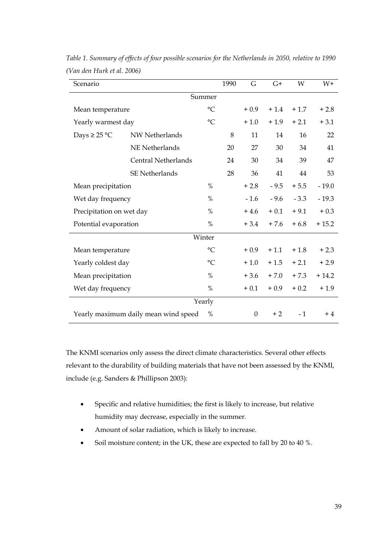| Scenario                             |                       |                 | 1990 | G            | $G+$   | W      | $W+$    |
|--------------------------------------|-----------------------|-----------------|------|--------------|--------|--------|---------|
| Summer                               |                       |                 |      |              |        |        |         |
| Mean temperature                     |                       | $\rm ^{\circ}C$ |      | $+0.9$       | $+1.4$ | $+1.7$ | $+2.8$  |
| Yearly warmest day                   |                       | $^{\circ}C$     |      | $+1.0$       | $+1.9$ | $+2.1$ | $+3.1$  |
| Days $\geq$ 25 °C                    | NW Netherlands        |                 | 8    | 11           | 14     | 16     | 22      |
|                                      | <b>NE</b> Netherlands |                 | 20   | 27           | 30     | 34     | 41      |
|                                      | Central Netherlands   |                 | 24   | 30           | 34     | 39     | 47      |
|                                      | <b>SE Netherlands</b> |                 | 28   | 36           | 41     | 44     | 53      |
| Mean precipitation                   |                       | %               |      | $+2.8$       | $-9.5$ | $+5.5$ | $-19.0$ |
| Wet day frequency                    |                       | $\%$            |      | $-1.6$       | $-9.6$ | $-3.3$ | $-19.3$ |
| Precipitation on wet day             |                       | %               |      | $+4.6$       | $+0.1$ | $+9.1$ | $+0.3$  |
| Potential evaporation                |                       | $\%$            |      | $+3.4$       | $+7.6$ | $+6.8$ | $+15.2$ |
| Winter                               |                       |                 |      |              |        |        |         |
| Mean temperature                     |                       | $\rm ^{\circ}C$ |      | $+0.9$       | $+1.1$ | $+1.8$ | $+2.3$  |
| Yearly coldest day                   |                       | $\circ$ C       |      | $+1.0$       | $+1.5$ | $+2.1$ | $+2.9$  |
| Mean precipitation                   |                       | $\%$            |      | $+3.6$       | $+7.0$ | $+7.3$ | $+14.2$ |
| Wet day frequency                    |                       | %               |      | $+0.1$       | $+0.9$ | $+0.2$ | $+1.9$  |
| Yearly                               |                       |                 |      |              |        |        |         |
| Yearly maximum daily mean wind speed |                       | $\%$            |      | $\mathbf{0}$ | $+2$   | $-1$   | $+4$    |

*Table 1. Summary of effects of four possible scenarios for the Netherlands in 2050, relative to 1990 (Van den Hurk et al. 2006)* 

The KNMI scenarios only assess the direct climate characteristics. Several other effects relevant to the durability of building materials that have not been assessed by the KNMI, include (e.g. Sanders & Phillipson 2003):

- Specific and relative humidities; the first is likely to increase, but relative humidity may decrease, especially in the summer.
- Amount of solar radiation, which is likely to increase.
- Soil moisture content; in the UK, these are expected to fall by 20 to 40 %.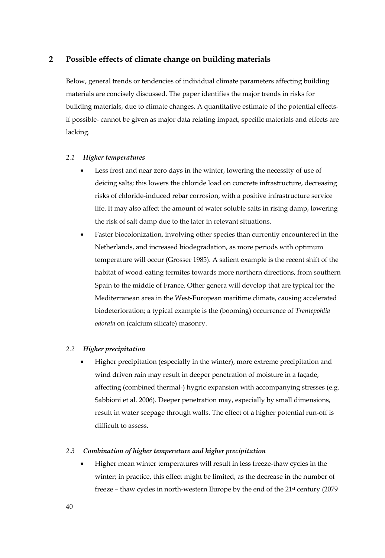## **2 Possible effects of climate change on building materials**

Below, general trends or tendencies of individual climate parameters affecting building materials are concisely discussed. The paper identifies the major trends in risks for building materials, due to climate changes. A quantitative estimate of the potential effectsif possible- cannot be given as major data relating impact, specific materials and effects are lacking.

#### *2.1 Higher temperatures*

- Less frost and near zero days in the winter, lowering the necessity of use of deicing salts; this lowers the chloride load on concrete infrastructure, decreasing risks of chloride-induced rebar corrosion, with a positive infrastructure service life. It may also affect the amount of water soluble salts in rising damp, lowering the risk of salt damp due to the later in relevant situations.
- Faster biocolonization, involving other species than currently encountered in the Netherlands, and increased biodegradation, as more periods with optimum temperature will occur (Grosser 1985). A salient example is the recent shift of the habitat of wood-eating termites towards more northern directions, from southern Spain to the middle of France. Other genera will develop that are typical for the Mediterranean area in the West-European maritime climate, causing accelerated biodeterioration; a typical example is the (booming) occurrence of *Trentepohlia odorata* on (calcium silicate) masonry.

#### *2.2 Higher precipitation*

• Higher precipitation (especially in the winter), more extreme precipitation and wind driven rain may result in deeper penetration of moisture in a façade, affecting (combined thermal-) hygric expansion with accompanying stresses (e.g. Sabbioni et al. 2006). Deeper penetration may, especially by small dimensions, result in water seepage through walls. The effect of a higher potential run-off is difficult to assess.

#### *2.3 Combination of higher temperature and higher precipitation*

• Higher mean winter temperatures will result in less freeze-thaw cycles in the winter; in practice, this effect might be limited, as the decrease in the number of freeze – thaw cycles in north-western Europe by the end of the 21<sup>st</sup> century (2079)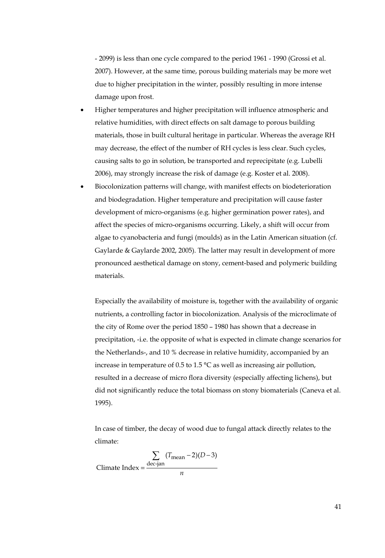- 2099) is less than one cycle compared to the period 1961 - 1990 (Grossi et al. 2007). However, at the same time, porous building materials may be more wet due to higher precipitation in the winter, possibly resulting in more intense damage upon frost.

- Higher temperatures and higher precipitation will influence atmospheric and relative humidities, with direct effects on salt damage to porous building materials, those in built cultural heritage in particular. Whereas the average RH may decrease, the effect of the number of RH cycles is less clear. Such cycles, causing salts to go in solution, be transported and reprecipitate (e.g. Lubelli 2006), may strongly increase the risk of damage (e.g. Koster et al. 2008).
- Biocolonization patterns will change, with manifest effects on biodeterioration and biodegradation. Higher temperature and precipitation will cause faster development of micro-organisms (e.g. higher germination power rates), and affect the species of micro-organisms occurring. Likely, a shift will occur from algae to cyanobacteria and fungi (moulds) as in the Latin American situation (cf. Gaylarde & Gaylarde 2002, 2005). The latter may result in development of more pronounced aesthetical damage on stony, cement-based and polymeric building materials.

Especially the availability of moisture is, together with the availability of organic nutrients, a controlling factor in biocolonization. Analysis of the microclimate of the city of Rome over the period 1850 – 1980 has shown that a decrease in precipitation, -i.e. the opposite of what is expected in climate change scenarios for the Netherlands-, and 10 % decrease in relative humidity, accompanied by an increase in temperature of 0.5 to 1.5 °C as well as increasing air pollution, resulted in a decrease of micro flora diversity (especially affecting lichens), but did not significantly reduce the total biomass on stony biomaterials (Caneva et al. 1995).

In case of timber, the decay of wood due to fungal attack directly relates to the climate:

$$
Climate Index = \frac{\sum_{\text{dec-jan}} (T_{\text{mean}} - 2)(D - 3)}{n}
$$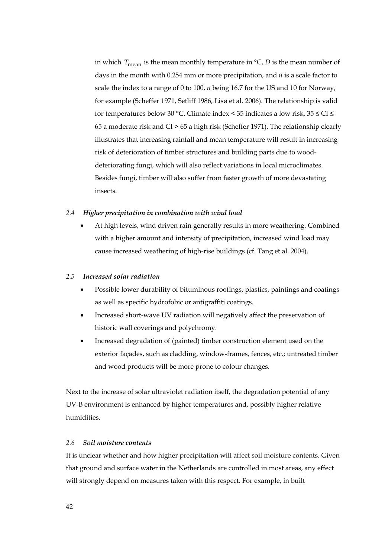in which  $T_{\text{mean}}$  is the mean monthly temperature in  $\mathcal{C}$ , *D* is the mean number of days in the month with 0.254 mm or more precipitation, and *n* is a scale factor to scale the index to a range of 0 to 100, *n* being 16.7 for the US and 10 for Norway, for example (Scheffer 1971, Setliff 1986, Lisø et al. 2006). The relationship is valid for temperatures below 30 °C. Climate index < 35 indicates a low risk, 35 ≤ CI ≤ 65 a moderate risk and CI > 65 a high risk (Scheffer 1971). The relationship clearly illustrates that increasing rainfall and mean temperature will result in increasing risk of deterioration of timber structures and building parts due to wooddeteriorating fungi, which will also reflect variations in local microclimates. Besides fungi, timber will also suffer from faster growth of more devastating insects.

## *2.4 Higher precipitation in combination with wind load*

• At high levels, wind driven rain generally results in more weathering. Combined with a higher amount and intensity of precipitation, increased wind load may cause increased weathering of high-rise buildings (cf. Tang et al. 2004).

## *2.5 Increased solar radiation*

- Possible lower durability of bituminous roofings, plastics, paintings and coatings as well as specific hydrofobic or antigraffiti coatings.
- Increased short-wave UV radiation will negatively affect the preservation of historic wall coverings and polychromy.
- Increased degradation of (painted) timber construction element used on the exterior façades, such as cladding, window-frames, fences, etc.; untreated timber and wood products will be more prone to colour changes.

Next to the increase of solar ultraviolet radiation itself, the degradation potential of any UV-B environment is enhanced by higher temperatures and, possibly higher relative humidities.

## *2.6 Soil moisture contents*

It is unclear whether and how higher precipitation will affect soil moisture contents. Given that ground and surface water in the Netherlands are controlled in most areas, any effect will strongly depend on measures taken with this respect. For example, in built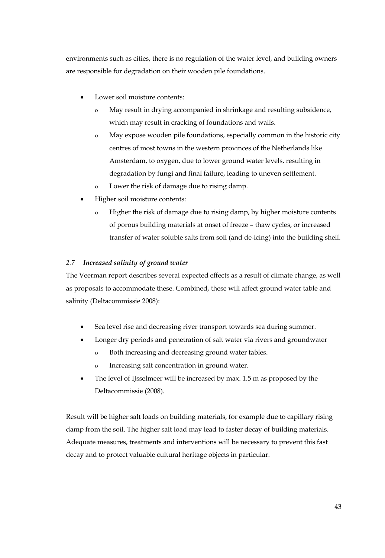environments such as cities, there is no regulation of the water level, and building owners are responsible for degradation on their wooden pile foundations.

- Lower soil moisture contents:
	- o May result in drying accompanied in shrinkage and resulting subsidence, which may result in cracking of foundations and walls.
	- o May expose wooden pile foundations, especially common in the historic city centres of most towns in the western provinces of the Netherlands like Amsterdam, to oxygen, due to lower ground water levels, resulting in degradation by fungi and final failure, leading to uneven settlement.
	- o Lower the risk of damage due to rising damp.
- Higher soil moisture contents:
	- o Higher the risk of damage due to rising damp, by higher moisture contents of porous building materials at onset of freeze – thaw cycles, or increased transfer of water soluble salts from soil (and de-icing) into the building shell.

## *2.7 Increased salinity of ground water*

The Veerman report describes several expected effects as a result of climate change, as well as proposals to accommodate these. Combined, these will affect ground water table and salinity (Deltacommissie 2008):

- Sea level rise and decreasing river transport towards sea during summer.
- Longer dry periods and penetration of salt water via rivers and groundwater
	- o Both increasing and decreasing ground water tables.
	- o Increasing salt concentration in ground water.
- The level of IJsselmeer will be increased by max. 1.5 m as proposed by the Deltacommissie (2008).

Result will be higher salt loads on building materials, for example due to capillary rising damp from the soil. The higher salt load may lead to faster decay of building materials. Adequate measures, treatments and interventions will be necessary to prevent this fast decay and to protect valuable cultural heritage objects in particular.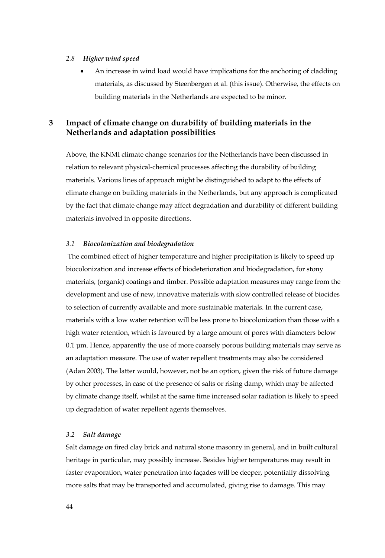#### *2.8 Higher wind speed*

• An increase in wind load would have implications for the anchoring of cladding materials, as discussed by Steenbergen et al. (this issue). Otherwise, the effects on building materials in the Netherlands are expected to be minor.

# **3 Impact of climate change on durability of building materials in the Netherlands and adaptation possibilities**

Above, the KNMI climate change scenarios for the Netherlands have been discussed in relation to relevant physical-chemical processes affecting the durability of building materials. Various lines of approach might be distinguished to adapt to the effects of climate change on building materials in the Netherlands, but any approach is complicated by the fact that climate change may affect degradation and durability of different building materials involved in opposite directions.

#### *3.1 Biocolonization and biodegradation*

 The combined effect of higher temperature and higher precipitation is likely to speed up biocolonization and increase effects of biodeterioration and biodegradation, for stony materials, (organic) coatings and timber. Possible adaptation measures may range from the development and use of new, innovative materials with slow controlled release of biocides to selection of currently available and more sustainable materials. In the current case, materials with a low water retention will be less prone to biocolonization than those with a high water retention, which is favoured by a large amount of pores with diameters below 0.1 μm. Hence, apparently the use of more coarsely porous building materials may serve as an adaptation measure. The use of water repellent treatments may also be considered (Adan 2003). The latter would, however, not be an option, given the risk of future damage by other processes, in case of the presence of salts or rising damp, which may be affected by climate change itself, whilst at the same time increased solar radiation is likely to speed up degradation of water repellent agents themselves.

## *3.2 Salt damage*

Salt damage on fired clay brick and natural stone masonry in general, and in built cultural heritage in particular, may possibly increase. Besides higher temperatures may result in faster evaporation, water penetration into façades will be deeper, potentially dissolving more salts that may be transported and accumulated, giving rise to damage. This may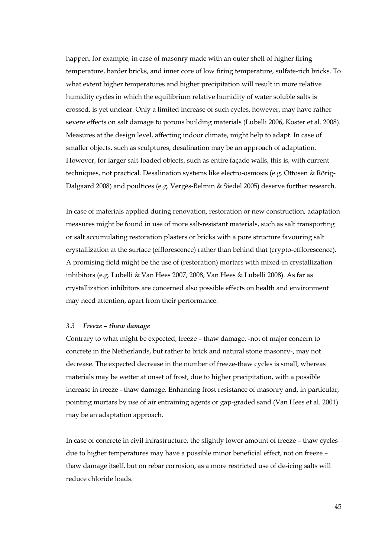happen, for example, in case of masonry made with an outer shell of higher firing temperature, harder bricks, and inner core of low firing temperature, sulfate-rich bricks. To what extent higher temperatures and higher precipitation will result in more relative humidity cycles in which the equilibrium relative humidity of water soluble salts is crossed, is yet unclear. Only a limited increase of such cycles, however, may have rather severe effects on salt damage to porous building materials (Lubelli 2006, Koster et al. 2008). Measures at the design level, affecting indoor climate, might help to adapt. In case of smaller objects, such as sculptures, desalination may be an approach of adaptation. However, for larger salt-loaded objects, such as entire façade walls, this is, with current techniques, not practical. Desalination systems like electro-osmosis (e.g. Ottosen & Rörig-Dalgaard 2008) and poultices (e.g. Vergès-Belmin & Siedel 2005) deserve further research.

In case of materials applied during renovation, restoration or new construction, adaptation measures might be found in use of more salt-resistant materials, such as salt transporting or salt accumulating restoration plasters or bricks with a pore structure favouring salt crystallization at the surface (efflorescence) rather than behind that (crypto-efflorescence). A promising field might be the use of (restoration) mortars with mixed-in crystallization inhibitors (e.g. Lubelli & Van Hees 2007, 2008, Van Hees & Lubelli 2008). As far as crystallization inhibitors are concerned also possible effects on health and environment may need attention, apart from their performance.

## *3.3 Freeze – thaw damage*

Contrary to what might be expected, freeze – thaw damage, -not of major concern to concrete in the Netherlands, but rather to brick and natural stone masonry-, may not decrease. The expected decrease in the number of freeze-thaw cycles is small, whereas materials may be wetter at onset of frost, due to higher precipitation, with a possible increase in freeze - thaw damage. Enhancing frost resistance of masonry and, in particular, pointing mortars by use of air entraining agents or gap-graded sand (Van Hees et al. 2001) may be an adaptation approach.

In case of concrete in civil infrastructure, the slightly lower amount of freeze – thaw cycles due to higher temperatures may have a possible minor beneficial effect, not on freeze – thaw damage itself, but on rebar corrosion, as a more restricted use of de-icing salts will reduce chloride loads.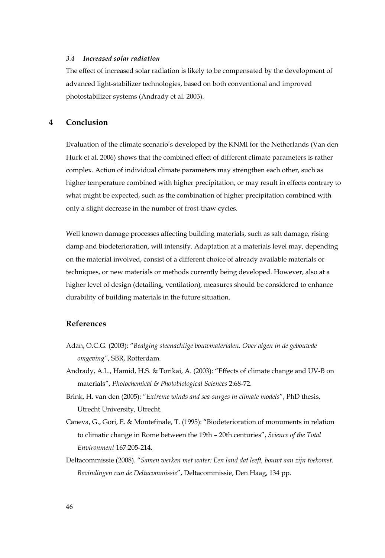## *3.4 Increased solar radiation*

The effect of increased solar radiation is likely to be compensated by the development of advanced light-stabilizer technologies, based on both conventional and improved photostabilizer systems (Andrady et al. 2003).

## **4 Conclusion**

Evaluation of the climate scenario's developed by the KNMI for the Netherlands (Van den Hurk et al. 2006) shows that the combined effect of different climate parameters is rather complex. Action of individual climate parameters may strengthen each other, such as higher temperature combined with higher precipitation, or may result in effects contrary to what might be expected, such as the combination of higher precipitation combined with only a slight decrease in the number of frost-thaw cycles.

Well known damage processes affecting building materials, such as salt damage, rising damp and biodeterioration, will intensify. Adaptation at a materials level may, depending on the material involved, consist of a different choice of already available materials or techniques, or new materials or methods currently being developed. However, also at a higher level of design (detailing, ventilation), measures should be considered to enhance durability of building materials in the future situation.

## **References**

- Adan, O.C.G. (2003): "*Bealging steenachtige bouwmaterialen. Over algen in de gebouwde omgeving"*, SBR, Rotterdam.
- Andrady, A.L., Hamid, H.S. & Torikai, A. (2003): "Effects of climate change and UV-B on materials", *Photochemical & Photobiological Sciences* 2:68-72.
- Brink, H. van den (2005): "*Extreme winds and sea-surges in climate models*", PhD thesis, Utrecht University, Utrecht.
- Caneva, G., Gori, E. & Montefinale, T. (1995): "Biodeterioration of monuments in relation to climatic change in Rome between the 19th – 20th centuries", *Science of the Total Environment* 167:205-214.
- Deltacommissie (2008). "*Samen werken met water: Een land dat leeft, bouwt aan zijn toekomst. Bevindingen van de Deltacommissie*", Deltacommissie, Den Haag, 134 pp.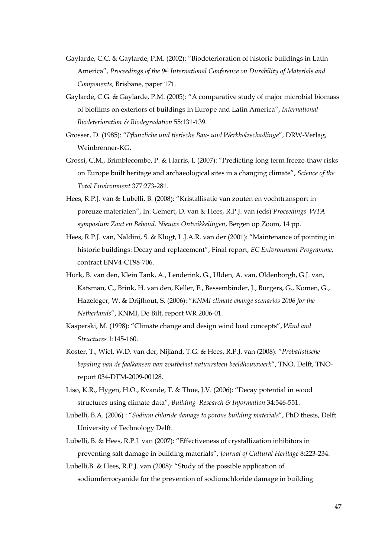- Gaylarde, C.C. & Gaylarde, P.M. (2002): "Biodeterioration of historic buildings in Latin America", *Proceedings of the 9th International Conference on Durability of Materials and Components*, Brisbane, paper 171.
- Gaylarde, C.G. & Gaylarde, P.M. (2005): "A comparative study of major microbial biomass of biofilms on exteriors of buildings in Europe and Latin America", *International Biodeterioration & Biodegradation* 55:131-139.
- Grosser, D. (1985): "*Pflanzliche und tierische Bau- und Werkholzschadlinge*", DRW-Verlag, Weinbrenner-KG.
- Grossi, C.M., Brimblecombe, P. & Harris, I. (2007): "Predicting long term freeze-thaw risks on Europe built heritage and archaeological sites in a changing climate", *Science of the Total Environment* 377:273-281.
- Hees, R.P.J. van & Lubelli, B. (2008): "Kristallisatie van zouten en vochttransport in poreuze materialen", In: Gemert, D. van & Hees, R.P.J. van (eds) *Proceedings WTA symposium Zout en Behoud. Nieuwe Ontwikkelingen*, Bergen op Zoom, 14 pp.
- Hees, R.P.J. van, Naldini, S. & Klugt, L.J.A.R. van der (2001): "Maintenance of pointing in historic buildings: Decay and replacement", Final report, *EC Enivronment Programme*, contract ENV4-CT98-706.
- Hurk, B. van den, Klein Tank, A., Lenderink, G., Ulden, A. van, Oldenborgh, G.J. van, Katsman, C., Brink, H. van den, Keller, F., Bessembinder, J., Burgers, G., Komen, G., Hazeleger, W. & Drijfhout, S. (2006): "*KNMI climate change scenarios 2006 for the Netherlands*", KNMI, De Bilt, report WR 2006-01.
- Kasperski, M. (1998): "Climate change and design wind load concepts", *Wind and Structures* 1:145-160.
- Koster, T., Wiel, W.D. van der, Nijland, T.G. & Hees, R.P.J. van (2008): "*Probalistische bepaling van de faalkansen van zoutbelast natuursteen beeldhouwwerk*", TNO, Delft, TNOreport 034-DTM-2009-00128.
- Lisø, K.R., Hygen, H.O., Kvande, T. & Thue, J.V. (2006): "Decay potential in wood structures using climate data", *Building Research & Information* 34:546-551.
- Lubelli, B.A. (2006) : "*Sodium chloride damage to porous building materials*", PhD thesis, Delft University of Technology Delft.
- Lubelli, B. & Hees, R.P.J. van (2007): "Effectiveness of crystallization inhibitors in preventing salt damage in building materials", *Journal of Cultural Heritage* 8:223-234.
- Lubelli,B. & Hees, R.P.J. van (2008): "Study of the possible application of sodiumferrocyanide for the prevention of sodiumchloride damage in building